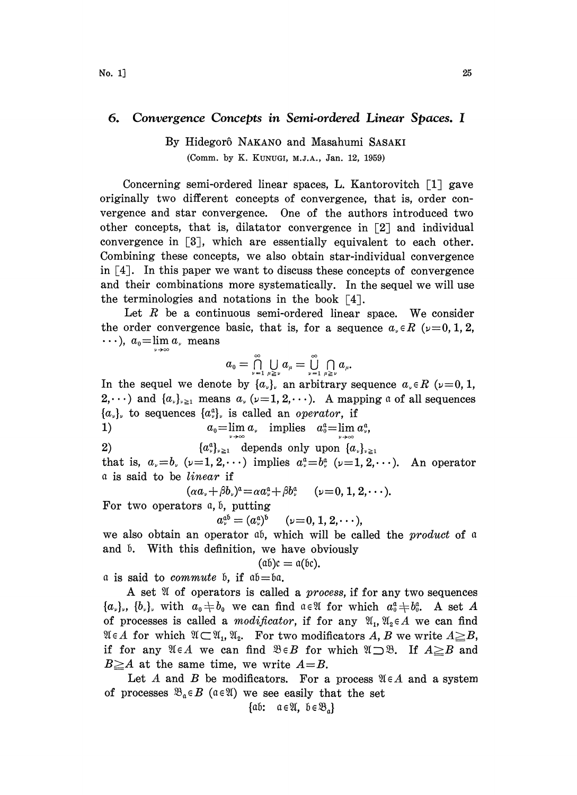## 6. Convergence Concepts in Semi.ordered Linear Spaces. I

## By Hidegor6 NAKANO and Masahumi SASAKI (Comm. by K. KUNUGI, M.J.A., Jan. 12, 1959)

Concerning semi-ordered linear spaces, L. Kantorovitch  $\lceil 1 \rceil$  gave originally two different concepts of convergence, that is, order convergence and star convergence. One of the authors introduced two other concepts, that is, dilatator convergence in  $\lceil 2 \rceil$  and individual convergence in  $[3]$ , which are essentially equivalent to each other. Combining these concepts, we also obtain star-individual convergence in  $\lceil 4 \rceil$ . In this paper we want to discuss these concepts of convergence and their combinations more systematically. In the sequel we will use the terminologies and notations in the book  $\lceil 4 \rceil$ .

Let  $R$  be a continuous semi-ordered linear space. We consider the order convergence basic, that is, for a sequence  $a_{\nu} \in R$  ( $\nu=0, 1, 2$ ,  $\cdots$ ),  $a_0 = \lim_{\nu \to \infty} a_{\nu}$  means

$$
a_0=\bigcap_{\nu=1}^\infty\bigcup_{\mu\geq\nu}a_\mu=\bigcup_{\nu=1}^\infty\bigcap_{\mu\geq\nu}a_\mu.
$$

In the sequel we denote by  $\{a_{\nu}\}\$  an arbitrary sequence  $a_{\nu} \in R$  ( $\nu=0, 1$ ,  $2,\dots$ ) and  $\{a_{\nu}\}_{\nu\geq 1}$  means  $a_{\nu}(\nu=1, 2,\dots)$ . A mapping a of all sequences  $\{a_{\nu}\}\$ , to sequences  $\{a_{\nu}^{\alpha}\}\$ , is called an *operator*, if

1)  $a_0 = \lim_{\nu \to \infty} a_{\nu}$  implies  $a_0^a = \lim_{\nu \to \infty} a_{\nu}^a$ 

2)  $\{a_\nu^a\}_{\nu\geq 1}$  depends only upon  $\{a_\nu\}_{\nu\geq 1}$ 

that is,  $a_{\nu} = b_{\nu}$  ( $\nu = 1, 2, \cdots$ ) implies  $a_{\nu}^{\alpha} = b_{\nu}^{\alpha}$  ( $\nu = 1, 2, \cdots$ ). An operator a is said to be linear if

 $(\alpha a_{\nu}+\beta b_{\nu})^{\alpha}=\alpha a_{\nu}^{\alpha}+\beta b_{\nu}^{\alpha}$   $(\nu=0, 1, 2, \cdots).$ 

For two operators  $a, b$ , putting

$$
a^{\mathfrak{a}\mathfrak{b}}_{\nu}=(a^{\mathfrak{a}}_{\nu})^{\mathfrak{b}} \quad (\nu=0,1,2,\cdots),
$$

we also obtain an operator  $\phi$ , which will be called the *product* of  $\phi$ and 5. With this definition, we have obviously

$$
(\mathfrak{a}\mathfrak{b})\mathfrak{c}=\mathfrak{a}(\mathfrak{b}\mathfrak{c}).
$$

a is said to *commute*  $\mathfrak{b}$ , if  $\mathfrak{a}\mathfrak{b} = \mathfrak{b}\mathfrak{a}$ .

A set  $\mathfrak A$  of operators is called a *process*, if for any two sequences  $\{a_{\nu}\}, \{b_{\nu}\}\$ , with  $a_{\nu} \neq b_{\nu}$  we can find  $\alpha \in \mathfrak{A}$  for which  $a_{\nu}^{\alpha} \neq b_{\nu}^{\alpha}$ . A set A of processes is called a *modificator*, if for any  $\mathfrak{A}_1, \mathfrak{A}_2 \in A$  we can find  $\mathfrak{A} \in A$  for which  $\mathfrak{A} \subset \mathfrak{A}_1, \mathfrak{A}_2$ . For two modificators A, B we write  $A \geq B$ , if for any  $\mathfrak{A} \in A$  we can find  $\mathfrak{B} \in B$  for which  $\mathfrak{A} \supset \mathfrak{B}$ . If  $A \geq B$  and  $B \geq A$  at the same time, we write  $A = B$ .

Let A and B be modificators. For a process  $\mathfrak{A} \in A$  and a system Let A and B be modificators. For a process  $\mathfrak{B}_{\mathfrak{a}} \in B$  ( $\mathfrak{a} \in \mathfrak{A}$ ) we see easily that the set  $\{\mathfrak{a}\mathfrak{b}: \mathfrak{a} \in \mathfrak{A}, \mathfrak{b} \in \mathfrak{B}_{\mathfrak{a}}\}\$ 

$$
\{\mathfrak{a}\mathfrak{b}\textbf{:} \quad \mathfrak{a}\in \mathfrak{A},\ \mathfrak{b}\in \mathfrak{B}_{\mathfrak{a}}\}
$$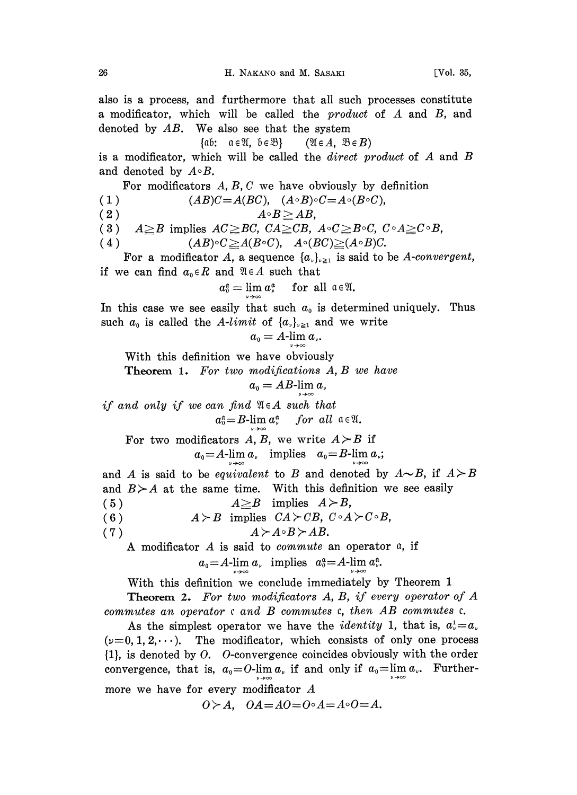also is a process, and furthermore that all such processes constitute <sup>a</sup> modificator, which will be called the product of A and B, and denoted by AB. We also see that the system<br>  $\{\alpha b: \alpha \in \mathbb{X}, b \in \mathbb{B}\}$  ( $\mathbb{X} \in A, \mathbb{B} \in B$ )<br>
is a modificator which will be called the dinast m

$$
\text{if: } a \in \mathfrak{A}, b \in \mathfrak{B} \} \qquad (\mathfrak{A} \in A, \mathfrak{B} \in B)
$$

is <sup>a</sup> modificator, which will be called the direct product of A and B and denoted by  $A \circ B$ .

For modificators  $A, B, C$  we have obviously by definition

(1)  $(AB)C = A(BC), \quad (A \circ B) \circ C = A \circ (B \circ C),$ 

$$
(2) \t\t\t A\circB \geq AB,
$$

(2)  $A \circ B \geq AB$ ,<br>
(3)  $A \geq B$  implies  $AC \geq BC$ ,  $CA \geq CB$ ,  $A \circ C \geq B \circ C$ ,  $C \circ A \geq C \circ B$ ,<br>
(4)  $(AB) \circ C \geq A(B \circ C)$ ,  $A \circ (BC) \geq (A \circ B)C$ .

 $(AB) \circ C \geq A(B \circ C), \quad A \circ (BC) \geq (A \circ B)C.$ 

For a modificator A, a sequence  $\{a_{\nu}\}_{\nu\geq 1}$  is said to be A-convergent, if we can find  $a_0 \in R$  and  $\mathfrak{A} \in A$  such that

$$
a_0^{\mathfrak{a}} = \lim a_{\nu}^{\mathfrak{a}} \quad \text{for all } \mathfrak{a} \in \mathfrak{A}.
$$

In this case we see easily that such  $a_0$  is determined uniquely. Thus such  $a_0$  is called the A-limit of  $\{a_{\nu}\}_{\nu \geq 1}$  and we write

$$
a_{\scriptscriptstyle 0}=A\text{-}\!\lim_{\scriptscriptstyle \cdots\atop \scriptscriptstyle n\to\infty} a_{\scriptscriptstyle \nu}.
$$

With this definition we have obviously

Theorem 1. For two modifications A, B we have

$$
a_{\scriptscriptstyle 0}=AB\text{-}\!\lim a_{\scriptscriptstyle \nu}
$$

if and only if we can find  $\mathfrak{A}\in A$  such that  $a_0^{\alpha} = B$ -lim  $a_{\nu}^{\alpha}$  for all  $\alpha \in \mathfrak{A}$ .

For two modificators A, B, we write  $A > B$  if

 $a_0 = A$ -lim  $a_1$  implies  $a_0 = B$ -lim  $a_2$ ;

and A is said to be *equivalent* to B and denoted by  $A \sim B$ , if  $A \succ B$ and  $B > A$  at the same time. With this definition we see easily (5)  $A \geq B$  implies  $A > B$ , (6)  $A \geq B$  implies  $CA \geq CB$ ,  $C \circ A \geq C \circ B$ , (7)  $A > A \circ B > AB$ . A modificator  $A$  is said to *commute* an operator  $a$ , if  $a_0 = A$ -lim  $a_\nu$  implies  $a_0^{\mathfrak{a}} = A$ -lim  $a_\nu^{\mathfrak{a}}$ .

With this definition we conclude immediately by Theorem <sup>1</sup>

**Theorem 2.** For two modificators A, B, if every operator of A commutes an operator  $c$  and  $B$  commutes  $c$ , then  $AB$  commutes  $c$ .

As the simplest operator we have the *identity* 1, that is,  $a_v^1 = a_v$  $(\nu=0, 1, 2, \dots)$ . The modificator, which consists of only one process {1}, is denoted by O. 0-convergence coincides obviously with the order convergence, that is,  $a_0 = 0$ -lim  $a_{\nu}$  if and only if  $a_0 = \lim a_{\nu}$ . Furthermore we have for every modificator  $A$ 

 $0>A$ ,  $OA = AO = O \circ A = A \circ O = A$ .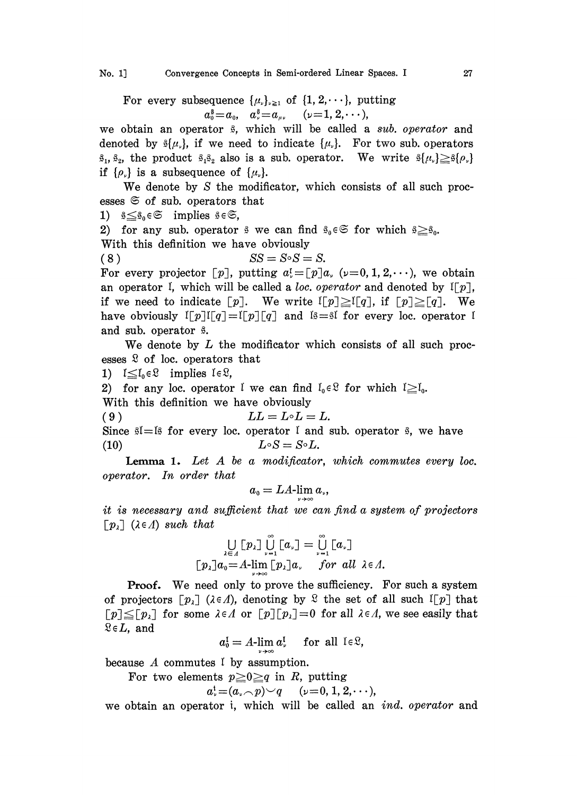For every subsequence  $\{\mu_{\nu}\}_{\nu \geq 1}$  of  $\{1, 2, \dots\}$ , putting  $a_0^{\$} = a_0, \quad a_{\nu}^{\$} = a_{\mu\nu} \quad (\nu = 1, 2, \cdots),$ 

 $a_0^s = a_0, \quad a_s^s = a_\mu, \quad (\nu = 1, 2, \cdots),$ <br>we obtain an operator  $\beta$ , which will be called a sub. operator and denoted by  $\mathfrak{sl}(\mu_s)$ , if we need to indicate  $\{\mu_s\}$ . For two sub. operators  $\hat{\mathfrak{s}}_1$ ,  $\hat{\mathfrak{s}}_2$ , the product  $\hat{\mathfrak{s}}_1\hat{\mathfrak{s}}_2$  also is a sub. operator. We write  $\hat{\mathfrak{s}}\{\mu_\nu\}\geq \hat{\mathfrak{s}}\{\rho_\nu\}$ if  $\{\rho_{\nu}\}\$ is a subsequence of  $\{\mu_{\nu}\}.$ 

We denote by S the modificator, which consists of all such processes  $\mathfrak{S}$  of sub. operators that

1)  $s \leq s_0 \in \mathfrak{S}$  implies  $s \in \mathfrak{S}$ ,

2) for any sub. operator  $\beta$  we can find  $\beta_0 \in \mathfrak{S}$  for which  $\beta \geq \beta_0$ . With this definition we have obviously

$$
(8) \t\t SS = S \circ S = S.
$$

For every projector [p], putting  $a_i = [p]a_i$ , ( $\nu = 0, 1, 2, \dots$ ), we obtain an operator I, which will be called a loc. operator and denoted by  $I[p]$ , if we need to indicate  $[p]$ . We write  $\lfloor p \rfloor \geq \lfloor q \rfloor$ , if  $\lfloor p \rfloor \geq \lfloor q \rfloor$ . We have obviously  $\mathbb{I}[p]\mathbb{I}[q]=\mathbb{I}[p][q]$  and  $\mathbb{I}_{p}=\mathbb{I}$  for every loc. operator I and sub. operator  $\hat{s}$ .

We denote by  $L$  the modificator which consists of all such processes  $\mathcal{R}$  of loc. operators that

1)  $1 \leq l_0 \in \mathcal{Q}$  implies  $l \in \mathcal{Q}$ ,

2) for any loc. operator I we can find  $I_0 \in \mathcal{L}$  for which  $I \geq I_0$ .

With this definition we have obviously

(9)  $LL = L \circ L = L.$ 

Since  $\mathfrak{sl}=\mathfrak{ls}$  for every loc. operator I and sub. operator  $\mathfrak{sl}$ , we have (10)  $L \circ S = S \circ L$ .

Lemma 1. Let A be a modificator, which commutes every loc. operator. In order that

$$
a_{\scriptscriptstyle 0}=LA\text{-}\lim_{\scriptscriptstyle \nu} a_{\scriptscriptstyle \nu},
$$

it is necessary and sufficient that we can find a system of projectors  $\lceil p_i \rceil$  ( $\lambda \in \Lambda$ ) such that

$$
\bigcup_{\lambda \in \Lambda} [p_{\lambda}] \bigcup_{\nu=1}^{\nu} [a_{\nu}] = \bigcup_{\nu=1}^{\nu} [a_{\nu}]
$$
  

$$
[p_{\lambda}]a_0 = A\text{-lim } [p_{\lambda}]a_{\nu} \quad \text{for all } \lambda \in \Lambda.
$$

Proof. We need only to prove the sufficiency. For such a system of projectors  $[p_1]$  ( $\lambda \in \Lambda$ ), denoting by  $\mathcal{L}$  the set of all such  $I[p]$  that  $[p] \leq [p_{\lambda}]$  for some  $\lambda \in \Lambda$  or  $[p][p_{\lambda}] = 0$  for all  $\lambda \in \Lambda$ , we see easily that  $\mathcal{Q} \in L$ , and

$$
a_0^{\mathfrak{l}} = A\text{-lim }a_{\nu}^{\mathfrak{l}} \quad \text{ for all } \mathfrak{l} \in \mathfrak{L},
$$

because A commutes  $\mathfrak l$  by assumption.

For two elements  $p \geq 0 \geq q$  in R, putting

$$
a^{\mathfrak{t}}_{\nu} \!=\! (a_{\nu} \!\frown\! p) \!\smile\! q \quad (\nu \!=\! 0,1,2,\!\cdots),
$$

we obtain an operator i, which will be called an ind. operator and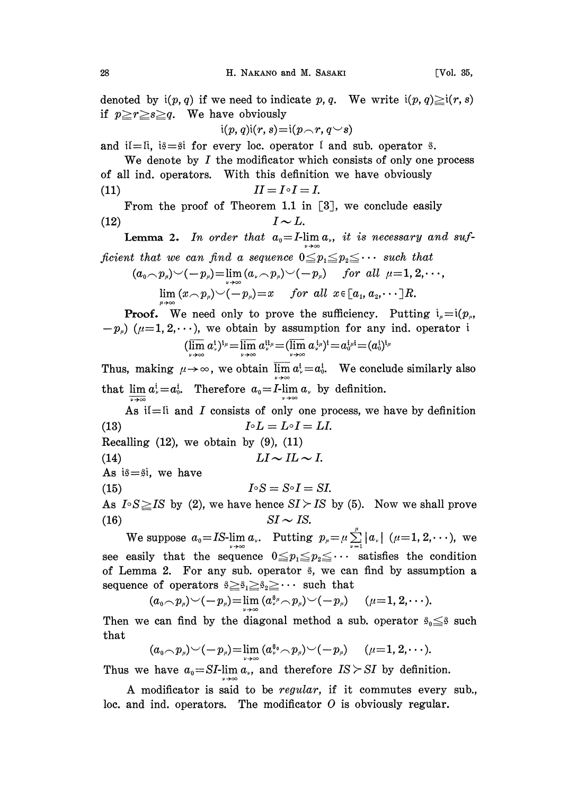denoted by  $i(p, q)$  if we need to indicate p, q. We write  $i(p, q) \geq i(r, s)$ if  $p \geq r \geq s \geq q$ . We have obviously

$$
\mathfrak{i}(p,q)\mathfrak{i}(r,s)\!=\!\mathfrak{i}(p\!\smallfrown\! r,q\!\smallsmile\! s)
$$

and if-ii, i $\hat{s}$ = $\hat{s}$  for every loc. operator I and sub. operator  $\hat{s}$ .

We denote by  $I$  the modificator which consists of only one process of all ind. operators. With this definition we have obviously (11)  $II = I \circ I = I.$ 

From the proof of Theorem 1.1 in  $\lceil 3 \rceil$ , we conclude easily (12)  $I \sim L$ .

**Lemma 2.** In order that  $a_0 = I$ -lim  $a_0$ , it is necessary and sufficient that we can find a sequence  $0 \leq p_1 \leq p_2 \leq \cdots$  such that

(a0p,) (-- p,)-- lim (a p) (-- p) for all /-- 1, 2,..., lim (xp,)(--p,)--x for all x [a, a,. .R.

**Proof.** We need only to prove the sufficiency. Putting  $i_a = i(p_a,$  $(-p_{\mu})$  ( $\mu=1, 2,...$ ), we obtain by assumption for any ind. operator i  $(\varlimsup_{\nu\to\infty}a^{\scriptscriptstyle{1}}_{\scriptscriptstyle{\nu}})^{\scriptscriptstyle{1}\mu}=\varlimsup_{\nu\to\infty}a^{\scriptscriptstyle{1}\mu}_{\scriptscriptstyle{\nu}}=(\varlimsup_{\nu\to\infty}a^{\scriptscriptstyle{1}\mu}_{\scriptscriptstyle{\nu}})^{\scriptscriptstyle{1}}=a^{\scriptscriptstyle{1}\mu}_{\scriptscriptstyle{\nu}}=(a^{\scriptscriptstyle{1}}_{\scriptscriptstyle{0}})^{\scriptscriptstyle{1}\mu}$ 

Thus, making  $\mu \rightarrow \infty$ , we obtain  $\overline{\lim} a^i = a^i_0$ . We conclude similarly also that  $\lim_{n \to \infty} a_n^i = a_0^i$ . Therefore  $a_0 = I$ - $\lim_{n \to \infty} a_n$  by definition.

As iI=I and I consists of only one process, we have by definition (13)  $I \circ L = L \circ I = LI.$ 

Recalling  $(12)$ , we obtain by  $(9)$ ,  $(11)$ 

(14) 
$$
LI \sim IL \sim I.
$$

As  $i\beta = \beta i$ , we have

(15)  $I \circ S = S \circ I = S I$ .

As  $I \circ S \geq IS$  by (2), we have hence  $SI \geq IS$  by (5). Now we shall prove (16)

 $SI \sim IS$ .<br>We suppose  $a_0 = IS$ -lim  $a_\nu$ . Putting  $p_\mu = \mu \sum_{\nu=1}^\mu |a_\nu|$  ( $\mu = 1, 2, \dots$ ), we see easily that the sequence  $0 \leq p_1 \leq p_2 \leq \cdots$  satisfies the condition of Lemma 2. For any sub. operator  $\hat{s}$ , we can find by assumption a sequence of operators  $\hat{\beta} \geq \hat{\beta}_1 \geq \hat{\beta}_2 \geq \cdots$  such that

$$
(\alpha_0\!\!\frown\! p_{\scriptscriptstyle \mu})\!\smile\! (-p_{\scriptscriptstyle \mu})\!\!=\!\lim_{\scriptscriptstyle \nu\!\rightarrow\!\infty} (\textcolor{black}{a_{\scriptscriptstyle \nu}^{\scriptscriptstyle 8\mu}\!\!\frown\! p_{\scriptscriptstyle \mu}})\!\smile\! (-p_{\scriptscriptstyle \mu})\quad \ (\mu\!\!=\!\!1,2,\!\cdots)
$$

Then we can find by the diagonal method a sub. operator  $\hat{\beta}_0 \leq \hat{\beta}$  such that

$$
(a_0\smallfrown p_\mu)\smile(-p_\mu)\smash{=}\lim_{\nu\to\infty}(a_\nu^{\mathfrak{s}_0}\smallfrown p_\mu)\smile(-p_\mu)\quad \ \ (\mu\!\equiv\! 1,2,\!\cdots).
$$

Thus we have  $a_0 = SI$ -lim  $a_{\nu}$ , and therefore  $IS > SI$  by definition.

A modificator is said to be regular, if it commutes every sub., loc. and ind. operators. The modificator  $O$  is obviously regular.

$$
\begin{array}{c} \overline{a} \\ b \end{array}
$$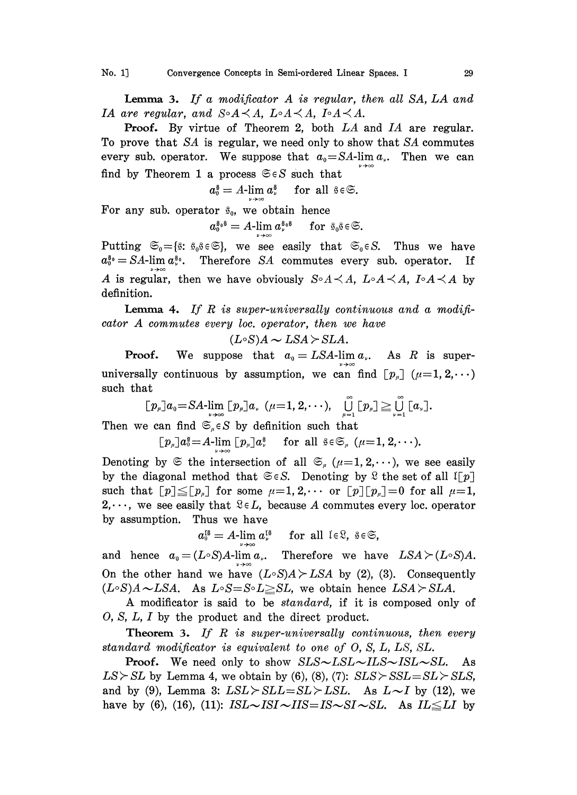**Lemma 3.** If a modificator  $A$  is regular, then all  $SA$ ,  $LA$  and IA are regular, and  $S \circ A \prec A$ ,  $L \circ A \prec A$ ,  $I \circ A \prec A$ .

Proof. By virtue of Theorem 2, both LA and IA are regular. To prove that SA is regular, we need only to show that SA commutes every sub. operator. We suppose that  $a_0 = SA$ -lim  $a_0$ . Then we can find by Theorem 1 a process  $\mathfrak{S} \in S$  such that

 $a_0^{\$} = A$ -lim  $a_{\nu}^{\$}$  for all  $\$ \in \mathfrak{S}$ .

For any sub. operator  $\hat{s}_0$ , we obtain hence

$$
a_0^{\mathfrak{s}_0\mathfrak{s}}=A\text{-}\lim_{n\to\infty}a_r^{\mathfrak{s}_0\mathfrak{s}}\quad\text{ for }\mathfrak{s}_0\mathfrak{s}\in\mathfrak{S}.
$$

Putting  $\mathfrak{S}_0 = \{\hat{\mathfrak{s}}: \hat{\mathfrak{s}}_0\}\in \mathfrak{S}$ , we see easily that  $\mathfrak{S}_0 \in S$ . Thus we have  $a_0^{\mathfrak{s}_0} = SA$ -lim  $a_\nu^{\mathfrak{s}_0}$ .  $a_0^{s_0} = SA$ -lim  $a_s^{s_0}$ . Therefore *SA* commutes every sub. operator. If <br>*A* is regular, then we have obviously  $S \circ A \prec A$ ,  $L \circ A \prec A$ ,  $I \circ A \prec A$  by definition definition.

**Lemma 4.** If R is super-universally continuous and a modifi- $\emph{cator A commutes every loc. operator, then we have}$ 

$$
(L\circ S)A \sim LSA \succ SLA.
$$

 $\angle$  SLA.<br>LSA-lin<br>we can **Proof.** We suppose that  $a_0 = LSA$ -lim $a_0$ . As R is super-**Proof.** We suppose that  $a_0 = LSA$ -lim  $a_{\nu}$ . As R is super-<br>universally continuous by assumption, we can find  $\lceil p_{\mu} \rceil$  ( $\mu=1, 2, \dots$ ) such that

$$
[\![p_\mu]\!]a_0\!=\!SA\text{-}\!\lim_{\nu\to\infty}[\![p_\mu]\!]a_\nu\;\;(\mu\!=\!1,2,\cdots),\quad \bigcup_{\mu=1}^\infty[\![p_\mu]\!] \geq \bigcup_{\nu=1}^\infty[\![a_\nu]\!].
$$

Then we can find  $\mathfrak{S}_{\mu} \in S$  by definition such that

 $[p_\mu]a_0^{\$} = A\lim_{\mu\to\infty} [p_\mu]a_\nu^{\$}$  for all  $\$ \in \mathfrak{S}_\mu$  ( $\mu=1, 2, \cdots$ ).

Denoting by  $\mathfrak{S}$  the intersection of all  $\mathfrak{S}_{\mu}$  ( $\mu=1, 2, \dots$ ), we see easily by the diagonal method that  $\mathfrak{S} \in S$ . Denoting by  $\mathfrak{L}$  the set of all  $\mathfrak{I}[p]$ such that  $[p] \leq [p_n]$  for some  $\mu=1, 2, \cdots$  or  $[p][p_n]=0$  for all  $\mu=1$ , 2,..., we see easily that  $\mathfrak{E} \in L$ , because A commutes every loc. operator by assumption. Thus we have

 $a_0^{18} = A$ -lim  $a_0^{18}$  for all  $1 \in \mathbb{R}$ ,  $\frac{8}{5} \in \mathbb{S}$ ,

and hence  $a_0 = (L \circ S)A$ -lim  $a_0$ . Therefore we have  $LSA \succ (L \circ S)A$ . On the other hand we have  $(L \circ S)A \geq LSA$  by (2), (3). Consequently  $(L \circ S)A \sim LSA$ . As  $L \circ S = S \circ L \geq SL$ , we obtain hence  $LSA \succ SLA$ .

A modificator is said to be standard, if it is composed only of O, S, L, I by the product and the direct product.

**Theorem 3.** If R is super-universally continuous, then every standard modificator is equivalent to one of O, S, L, LS, SL.

**Proof.** We need only to show  $SLS \sim LSL \sim ILS \sim ISL \sim SL$ . As  $LS > SL$  by Lemma 4, we obtain by (6), (8), (7):  $SLS > SSL = SL > SLS$ , and by (9), Lemma 3:  $LSL > SLL = SL > LSL$ . As  $L \sim I$  by (12), we have by (6), (16), (11):  $ISL\sim ISI\sim IIS=IS\sim SI\sim SL$ . As  $IL\leq LI$  by